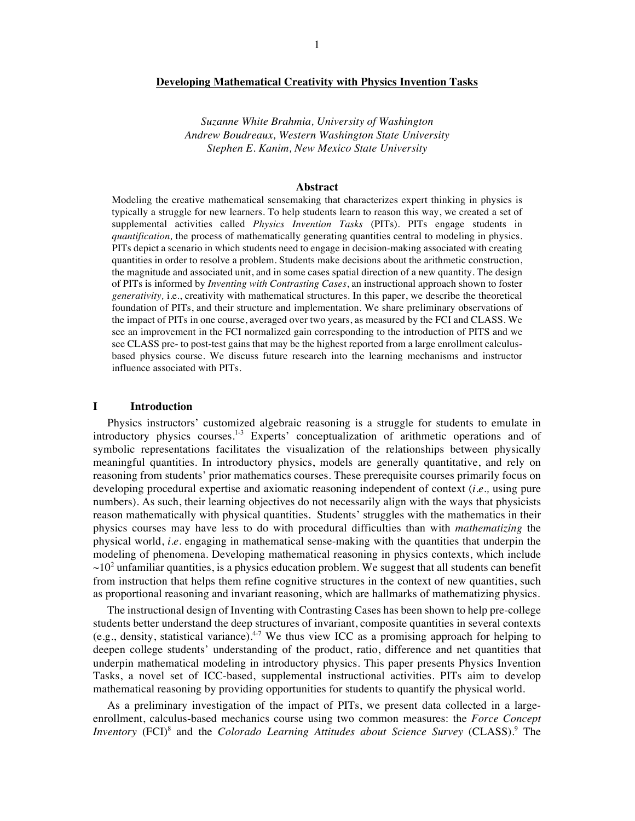### **Developing Mathematical Creativity with Physics Invention Tasks**

*Suzanne White Brahmia, University of Washington Andrew Boudreaux, Western Washington State University Stephen E. Kanim, New Mexico State University*

## **Abstract**

Modeling the creative mathematical sensemaking that characterizes expert thinking in physics is typically a struggle for new learners. To help students learn to reason this way, we created a set of supplemental activities called *Physics Invention Tasks* (PITs). PITs engage students in *quantification,* the process of mathematically generating quantities central to modeling in physics. PITs depict a scenario in which students need to engage in decision-making associated with creating quantities in order to resolve a problem. Students make decisions about the arithmetic construction, the magnitude and associated unit, and in some cases spatial direction of a new quantity. The design of PITs is informed by *Inventing with Contrasting Cases*, an instructional approach shown to foster *generativity,* i.e., creativity with mathematical structures. In this paper, we describe the theoretical foundation of PITs, and their structure and implementation. We share preliminary observations of the impact of PITs in one course, averaged over two years, as measured by the FCI and CLASS. We see an improvement in the FCI normalized gain corresponding to the introduction of PITS and we see CLASS pre- to post-test gains that may be the highest reported from a large enrollment calculusbased physics course. We discuss future research into the learning mechanisms and instructor influence associated with PITs.

# **I Introduction**

Physics instructors' customized algebraic reasoning is a struggle for students to emulate in introductory physics courses.1-3 Experts' conceptualization of arithmetic operations and of symbolic representations facilitates the visualization of the relationships between physically meaningful quantities. In introductory physics, models are generally quantitative, and rely on reasoning from students' prior mathematics courses. These prerequisite courses primarily focus on developing procedural expertise and axiomatic reasoning independent of context (*i.e.,* using pure numbers). As such, their learning objectives do not necessarily align with the ways that physicists reason mathematically with physical quantities. Students' struggles with the mathematics in their physics courses may have less to do with procedural difficulties than with *mathematizing* the physical world, *i.e.* engaging in mathematical sense-making with the quantities that underpin the modeling of phenomena. Developing mathematical reasoning in physics contexts, which include  $\sim 10^2$  unfamiliar quantities, is a physics education problem. We suggest that all students can benefit from instruction that helps them refine cognitive structures in the context of new quantities, such as proportional reasoning and invariant reasoning, which are hallmarks of mathematizing physics.

The instructional design of Inventing with Contrasting Cases has been shown to help pre-college students better understand the deep structures of invariant, composite quantities in several contexts (e.g., density, statistical variance).<sup>4-7</sup> We thus view ICC as a promising approach for helping to deepen college students' understanding of the product, ratio, difference and net quantities that underpin mathematical modeling in introductory physics. This paper presents Physics Invention Tasks, a novel set of ICC-based, supplemental instructional activities. PITs aim to develop mathematical reasoning by providing opportunities for students to quantify the physical world.

As a preliminary investigation of the impact of PITs, we present data collected in a largeenrollment, calculus-based mechanics course using two common measures: the *Force Concept*  Inventory (FCI)<sup>8</sup> and the *Colorado Learning Attitudes about Science Survey* (CLASS).<sup>9</sup> The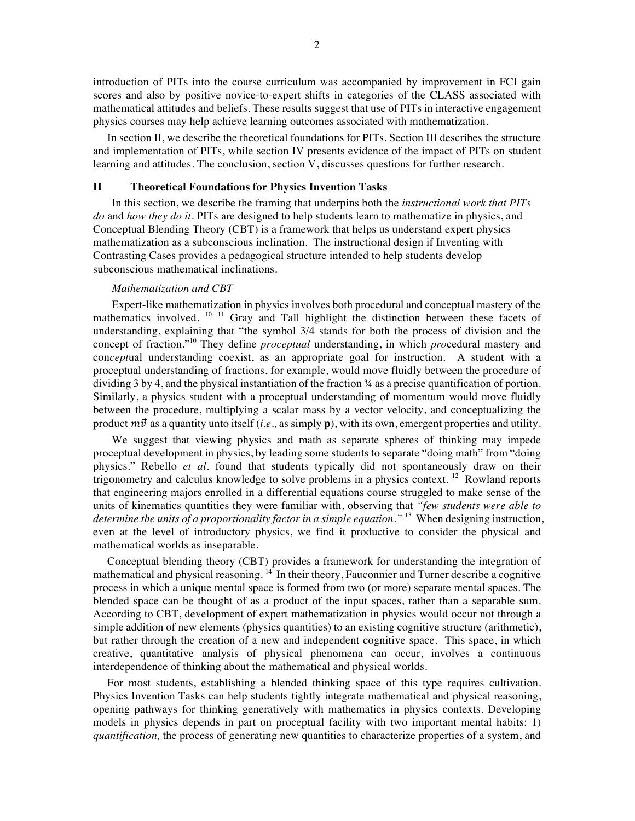introduction of PITs into the course curriculum was accompanied by improvement in FCI gain scores and also by positive novice-to-expert shifts in categories of the CLASS associated with mathematical attitudes and beliefs. These results suggest that use of PITs in interactive engagement physics courses may help achieve learning outcomes associated with mathematization.

In section II, we describe the theoretical foundations for PITs. Section III describes the structure and implementation of PITs, while section IV presents evidence of the impact of PITs on student learning and attitudes. The conclusion, section V, discusses questions for further research.

### **II Theoretical Foundations for Physics Invention Tasks**

In this section, we describe the framing that underpins both the *instructional work that PITs do* and *how they do it*. PITs are designed to help students learn to mathematize in physics, and Conceptual Blending Theory (CBT) is a framework that helps us understand expert physics mathematization as a subconscious inclination. The instructional design if Inventing with Contrasting Cases provides a pedagogical structure intended to help students develop subconscious mathematical inclinations.

#### *Mathematization and CBT*

Expert-like mathematization in physics involves both procedural and conceptual mastery of the mathematics involved.  $10, 11$  Gray and Tall highlight the distinction between these facets of understanding, explaining that "the symbol 3/4 stands for both the process of division and the concept of fraction."<sup>10</sup> They define *proceptual* understanding, in which *pro*cedural mastery and con*cept*ual understanding coexist, as an appropriate goal for instruction. A student with a proceptual understanding of fractions, for example, would move fluidly between the procedure of dividing  $3$  by 4, and the physical instantiation of the fraction  $\frac{3}{4}$  as a precise quantification of portion. Similarly, a physics student with a proceptual understanding of momentum would move fluidly between the procedure, multiplying a scalar mass by a vector velocity, and conceptualizing the product  $m\vec{v}$  as a quantity unto itself (*i.e.*, as simply **p**), with its own, emergent properties and utility.

We suggest that viewing physics and math as separate spheres of thinking may impede proceptual development in physics, by leading some students to separate "doing math" from "doing physics." Rebello *et al.* found that students typically did not spontaneously draw on their trigonometry and calculus knowledge to solve problems in a physics context. <sup>12</sup> Rowland reports that engineering majors enrolled in a differential equations course struggled to make sense of the units of kinematics quantities they were familiar with, observing that *"few students were able to determine the units of a proportionality factor in a simple equation."* <sup>13</sup> When designing instruction, even at the level of introductory physics, we find it productive to consider the physical and mathematical worlds as inseparable.

Conceptual blending theory (CBT) provides a framework for understanding the integration of mathematical and physical reasoning.  $14$  In their theory, Fauconnier and Turner describe a cognitive process in which a unique mental space is formed from two (or more) separate mental spaces. The blended space can be thought of as a product of the input spaces, rather than a separable sum. According to CBT, development of expert mathematization in physics would occur not through a simple addition of new elements (physics quantities) to an existing cognitive structure (arithmetic), but rather through the creation of a new and independent cognitive space. This space, in which creative, quantitative analysis of physical phenomena can occur, involves a continuous interdependence of thinking about the mathematical and physical worlds.

For most students, establishing a blended thinking space of this type requires cultivation. Physics Invention Tasks can help students tightly integrate mathematical and physical reasoning, opening pathways for thinking generatively with mathematics in physics contexts. Developing models in physics depends in part on proceptual facility with two important mental habits: 1) *quantification,* the process of generating new quantities to characterize properties of a system, and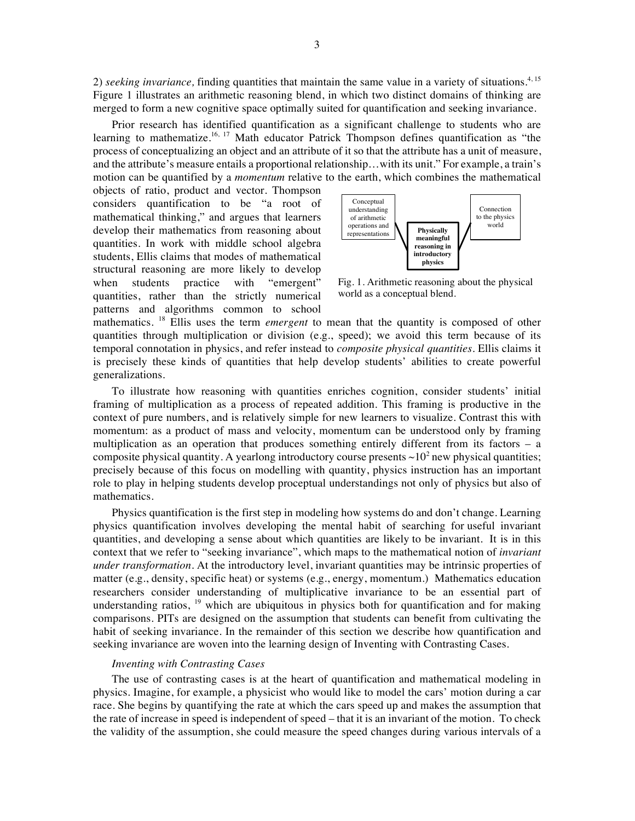2) *seeking invariance,* finding quantities that maintain the same value in a variety of situations. 4, 15 Figure 1 illustrates an arithmetic reasoning blend, in which two distinct domains of thinking are merged to form a new cognitive space optimally suited for quantification and seeking invariance.

Prior research has identified quantification as a significant challenge to students who are learning to mathematize.<sup>16, 17</sup> Math educator Patrick Thompson defines quantification as "the process of conceptualizing an object and an attribute of it so that the attribute has a unit of measure, and the attribute's measure entails a proportional relationship…with its unit." For example, a train's motion can be quantified by a *momentum* relative to the earth, which combines the mathematical

objects of ratio, product and vector. Thompson considers quantification to be "a root of mathematical thinking," and argues that learners develop their mathematics from reasoning about quantities. In work with middle school algebra students, Ellis claims that modes of mathematical structural reasoning are more likely to develop when students practice with "emergent" quantities, rather than the strictly numerical patterns and algorithms common to school



Fig. 1. Arithmetic reasoning about the physical world as a conceptual blend.

mathematics. <sup>18</sup> Ellis uses the term *emergent* to mean that the quantity is composed of other quantities through multiplication or division (e.g., speed); we avoid this term because of its temporal connotation in physics, and refer instead to *composite physical quantities*. Ellis claims it is precisely these kinds of quantities that help develop students' abilities to create powerful generalizations.

To illustrate how reasoning with quantities enriches cognition, consider students' initial framing of multiplication as a process of repeated addition. This framing is productive in the context of pure numbers, and is relatively simple for new learners to visualize. Contrast this with momentum: as a product of mass and velocity, momentum can be understood only by framing multiplication as an operation that produces something entirely different from its factors – a composite physical quantity. A yearlong introductory course presents  $\sim 10^2$  new physical quantities; precisely because of this focus on modelling with quantity, physics instruction has an important role to play in helping students develop proceptual understandings not only of physics but also of mathematics.

Physics quantification is the first step in modeling how systems do and don't change. Learning physics quantification involves developing the mental habit of searching for useful invariant quantities, and developing a sense about which quantities are likely to be invariant. It is in this context that we refer to "seeking invariance", which maps to the mathematical notion of *invariant under transformation.* At the introductory level, invariant quantities may be intrinsic properties of matter (e.g., density, specific heat) or systems (e.g., energy, momentum.) Mathematics education researchers consider understanding of multiplicative invariance to be an essential part of understanding ratios,  $19$  which are ubiquitous in physics both for quantification and for making comparisons. PITs are designed on the assumption that students can benefit from cultivating the habit of seeking invariance. In the remainder of this section we describe how quantification and seeking invariance are woven into the learning design of Inventing with Contrasting Cases.

# *Inventing with Contrasting Cases*

The use of contrasting cases is at the heart of quantification and mathematical modeling in physics. Imagine, for example, a physicist who would like to model the cars' motion during a car race. She begins by quantifying the rate at which the cars speed up and makes the assumption that the rate of increase in speed is independent of speed – that it is an invariant of the motion. To check the validity of the assumption, she could measure the speed changes during various intervals of a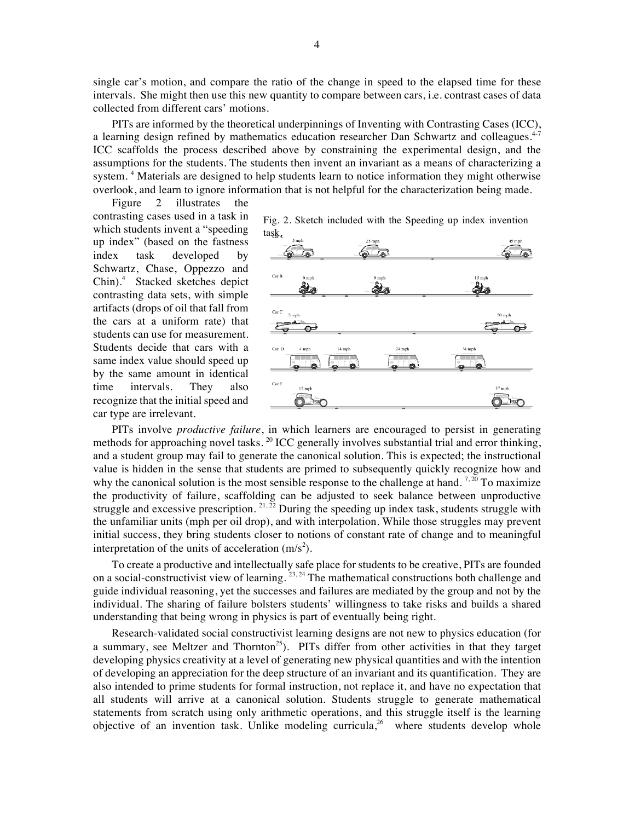single car's motion, and compare the ratio of the change in speed to the elapsed time for these intervals. She might then use this new quantity to compare between cars, i.e. contrast cases of data collected from different cars' motions.

PITs are informed by the theoretical underpinnings of Inventing with Contrasting Cases (ICC), a learning design refined by mathematics education researcher Dan Schwartz and colleagues.<sup>4-7</sup> ICC scaffolds the process described above by constraining the experimental design, and the assumptions for the students. The students then invent an invariant as a means of characterizing a system.<sup>4</sup> Materials are designed to help students learn to notice information they might otherwise overlook, and learn to ignore information that is not helpful for the characterization being made.

Figure 2 illustrates the contrasting cases used in a task in which students invent a "speeding up index" (based on the fastness index task developed by Schwartz, Chase, Oppezzo and Chin).<sup>4</sup> Stacked sketches depict contrasting data sets, with simple artifacts (drops of oil that fall from the cars at a uniform rate) that students can use for measurement. Students decide that cars with a same index value should speed up by the same amount in identical time intervals. They also recognize that the initial speed and car type are irrelevant.

Fig. 2. Sketch included with the Speeding up index invention task.



PITs involve *productive failure*, in which learners are encouraged to persist in generating methods for approaching novel tasks.  $^{20}$  ICC generally involves substantial trial and error thinking, and a student group may fail to generate the canonical solution. This is expected; the instructional value is hidden in the sense that students are primed to subsequently quickly recognize how and why the canonical solution is the most sensible response to the challenge at hand.  $7,20$  To maximize the productivity of failure, scaffolding can be adjusted to seek balance between unproductive struggle and excessive prescription.  $^{21,22}$  During the speeding up index task, students struggle with the unfamiliar units (mph per oil drop), and with interpolation. While those struggles may prevent initial success, they bring students closer to notions of constant rate of change and to meaningful interpretation of the units of acceleration  $(m/s<sup>2</sup>)$ .

To create a productive and intellectually safe place for students to be creative, PITs are founded on a social-constructivist view of learning. <sup>23, 24</sup> The mathematical constructions both challenge and guide individual reasoning, yet the successes and failures are mediated by the group and not by the individual. The sharing of failure bolsters students' willingness to take risks and builds a shared understanding that being wrong in physics is part of eventually being right.

Research-validated social constructivist learning designs are not new to physics education (for a summary, see Meltzer and Thornton<sup>25</sup>). PITs differ from other activities in that they target developing physics creativity at a level of generating new physical quantities and with the intention of developing an appreciation for the deep structure of an invariant and its quantification. They are also intended to prime students for formal instruction, not replace it, and have no expectation that all students will arrive at a canonical solution. Students struggle to generate mathematical statements from scratch using only arithmetic operations, and this struggle itself is the learning objective of an invention task. Unlike modeling curricula,<sup>26</sup> where students develop whole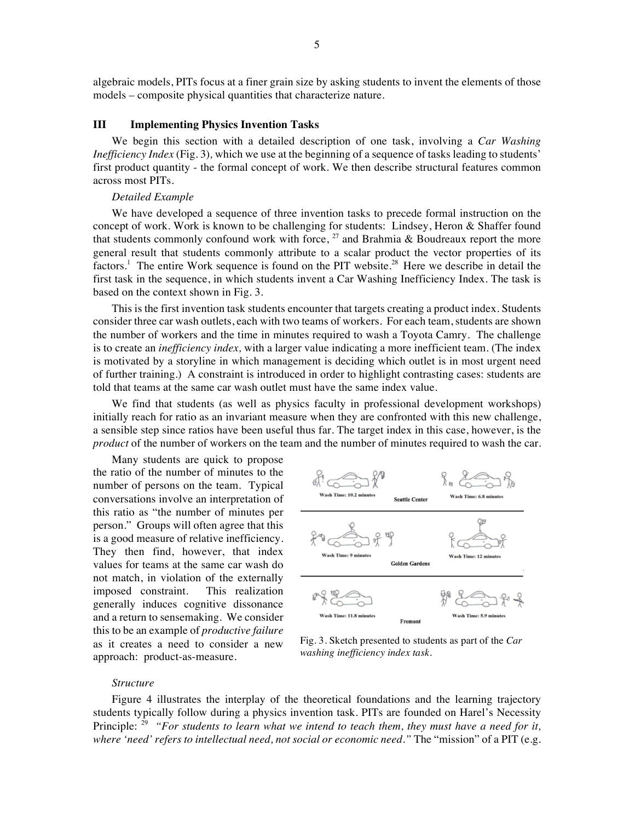algebraic models, PITs focus at a finer grain size by asking students to invent the elements of those models – composite physical quantities that characterize nature.

## **III Implementing Physics Invention Tasks**

We begin this section with a detailed description of one task, involving a *Car Washing Inefficiency Index* (Fig. 3)*,* which we use at the beginning of a sequence of tasks leading to students' first product quantity - the formal concept of work. We then describe structural features common across most PITs.

#### *Detailed Example*

We have developed a sequence of three invention tasks to precede formal instruction on the concept of work. Work is known to be challenging for students: Lindsey, Heron & Shaffer found that students commonly confound work with force,  $^{27}$  and Brahmia & Boudreaux report the more general result that students commonly attribute to a scalar product the vector properties of its factors.<sup>1</sup> The entire Work sequence is found on the PIT website.<sup>28</sup> Here we describe in detail the first task in the sequence, in which students invent a Car Washing Inefficiency Index. The task is based on the context shown in Fig. 3.

This is the first invention task students encounter that targets creating a product index. Students consider three car wash outlets, each with two teams of workers. For each team, students are shown the number of workers and the time in minutes required to wash a Toyota Camry. The challenge is to create an *inefficiency index,* with a larger value indicating a more inefficient team. (The index is motivated by a storyline in which management is deciding which outlet is in most urgent need of further training.) A constraint is introduced in order to highlight contrasting cases: students are told that teams at the same car wash outlet must have the same index value.

We find that students (as well as physics faculty in professional development workshops) initially reach for ratio as an invariant measure when they are confronted with this new challenge, a sensible step since ratios have been useful thus far. The target index in this case, however, is the *product* of the number of workers on the team and the number of minutes required to wash the car.

Many students are quick to propose the ratio of the number of minutes to the number of persons on the team. Typical conversations involve an interpretation of this ratio as "the number of minutes per person." Groups will often agree that this is a good measure of relative inefficiency. They then find, however, that index values for teams at the same car wash do not match, in violation of the externally imposed constraint. This realization generally induces cognitive dissonance and a return to sensemaking. We consider this to be an example of *productive failure* as it creates a need to consider a new approach: product-as-measure.



Fig. 3. Sketch presented to students as part of the *Car washing inefficiency index task.*

#### *Structure*

Figure 4 illustrates the interplay of the theoretical foundations and the learning trajectory students typically follow during a physics invention task. PITs are founded on Harel's Necessity Principle: <sup>29</sup> "For students to learn what we intend to teach them, they must have a need for it, *where 'need' refers to intellectual need, not social or economic need."* The "mission" of a PIT (e.g.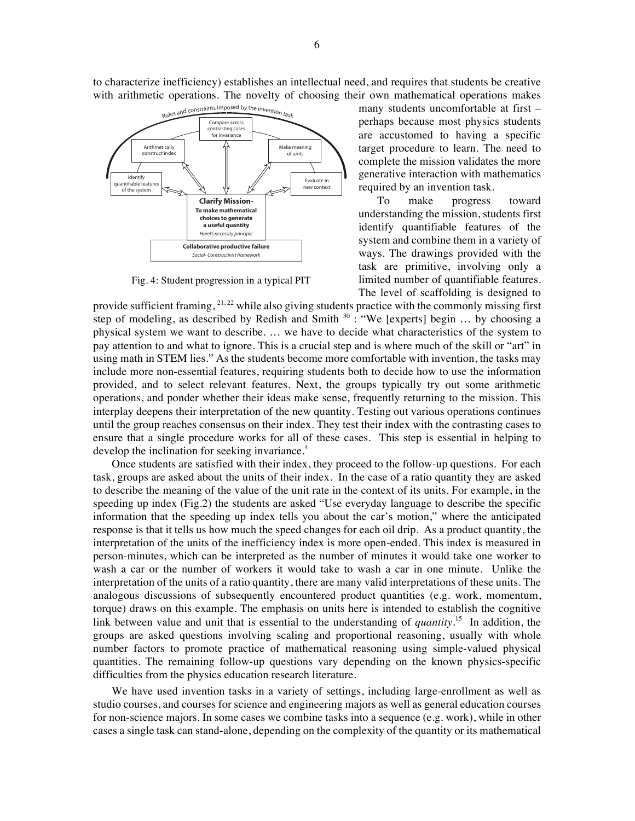to characterize inefficiency) establishes an intellectual need, and requires that students be creative with arithmetic operations. The novelty of choosing their own mathematical operations makes



Fig. 4: Student progression in a typical PIT

many students uncomfortable at first – perhaps because most physics students are accustomed to having a specific target procedure to learn. The need to complete the mission validates the more generative interaction with mathematics required by an invention task.

To make progress toward understanding the mission, students first identify quantifiable features of the system and combine them in a variety of ways. The drawings provided with the task are primitive, involving only a limited number of quantifiable features. The level of scaffolding is designed to

provide sufficient framing,  $^{21,22}$  while also giving students practice with the commonly missing first step of modeling, as described by Redish and Smith  $30$  : "We [experts] begin ... by choosing a physical system we want to describe. … we have to decide what characteristics of the system to pay attention to and what to ignore. This is a crucial step and is where much of the skill or "art" in using math in STEM lies." As the students become more comfortable with invention, the tasks may include more non-essential features, requiring students both to decide how to use the information provided, and to select relevant features. Next, the groups typically try out some arithmetic operations, and ponder whether their ideas make sense, frequently returning to the mission. This interplay deepens their interpretation of the new quantity. Testing out various operations continues until the group reaches consensus on their index. They test their index with the contrasting cases to ensure that a single procedure works for all of these cases. This step is essential in helping to develop the inclination for seeking invariance.<sup>4</sup>

Once students are satisfied with their index, they proceed to the follow-up questions. For each task, groups are asked about the units of their index. In the case of a ratio quantity they are asked to describe the meaning of the value of the unit rate in the context of its units. For example, in the speeding up index (Fig.2) the students are asked "Use everyday language to describe the specific information that the speeding up index tells you about the car's motion," where the anticipated response is that it tells us how much the speed changes for each oil drip. As a product quantity, the interpretation of the units of the inefficiency index is more open-ended. This index is measured in person-minutes, which can be interpreted as the number of minutes it would take one worker to wash a car or the number of workers it would take to wash a car in one minute. Unlike the interpretation of the units of a ratio quantity, there are many valid interpretations of these units. The analogous discussions of subsequently encountered product quantities (e.g. work, momentum, torque) draws on this example. The emphasis on units here is intended to establish the cognitive link between value and unit that is essential to the understanding of *quantity*.<sup>15</sup> In addition, the groups are asked questions involving scaling and proportional reasoning, usually with whole number factors to promote practice of mathematical reasoning using simple-valued physical quantities. The remaining follow-up questions vary depending on the known physics-specific difficulties from the physics education research literature.

We have used invention tasks in a variety of settings, including large-enrollment as well as studio courses, and courses for science and engineering majors as well as general education courses for non-science majors. In some cases we combine tasks into a sequence (e.g. work), while in other cases a single task can stand-alone, depending on the complexity of the quantity or its mathematical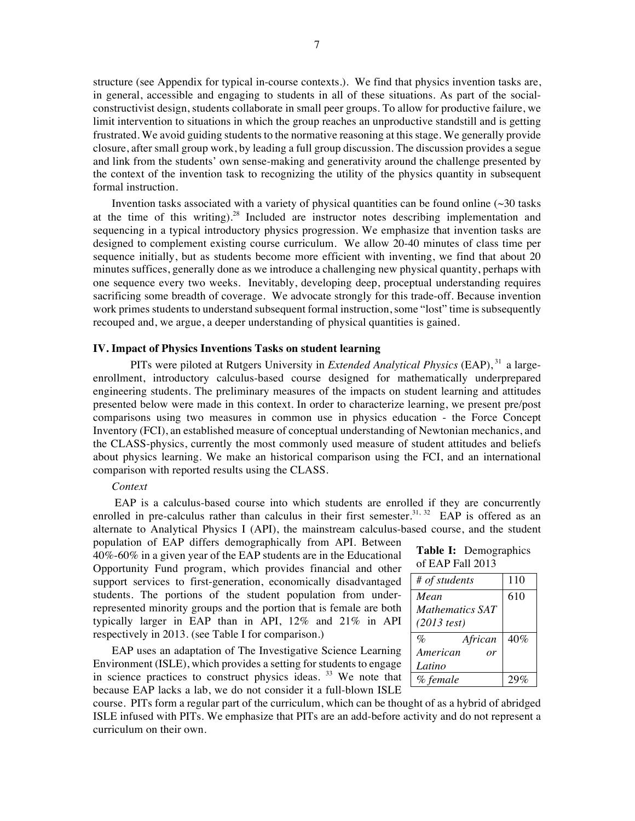structure (see Appendix for typical in-course contexts.). We find that physics invention tasks are, in general, accessible and engaging to students in all of these situations. As part of the socialconstructivist design, students collaborate in small peer groups. To allow for productive failure, we limit intervention to situations in which the group reaches an unproductive standstill and is getting frustrated. We avoid guiding students to the normative reasoning at this stage. We generally provide closure, after small group work, by leading a full group discussion. The discussion provides a segue and link from the students' own sense-making and generativity around the challenge presented by the context of the invention task to recognizing the utility of the physics quantity in subsequent formal instruction.

Invention tasks associated with a variety of physical quantities can be found online  $(\sim 30)$  tasks at the time of this writing).<sup>28</sup> Included are instructor notes describing implementation and sequencing in a typical introductory physics progression. We emphasize that invention tasks are designed to complement existing course curriculum. We allow 20-40 minutes of class time per sequence initially, but as students become more efficient with inventing, we find that about 20 minutes suffices, generally done as we introduce a challenging new physical quantity, perhaps with one sequence every two weeks. Inevitably, developing deep, proceptual understanding requires sacrificing some breadth of coverage. We advocate strongly for this trade-off. Because invention work primes students to understand subsequent formal instruction, some "lost" time is subsequently recouped and, we argue, a deeper understanding of physical quantities is gained.

# **IV. Impact of Physics Inventions Tasks on student learning**

PITs were piloted at Rutgers University in *Extended Analytical Physics* (EAP), <sup>31</sup> a largeenrollment, introductory calculus-based course designed for mathematically underprepared engineering students. The preliminary measures of the impacts on student learning and attitudes presented below were made in this context. In order to characterize learning, we present pre/post comparisons using two measures in common use in physics education - the Force Concept Inventory (FCI), an established measure of conceptual understanding of Newtonian mechanics, and the CLASS-physics, currently the most commonly used measure of student attitudes and beliefs about physics learning. We make an historical comparison using the FCI, and an international comparison with reported results using the CLASS.

# *Context*

EAP is a calculus-based course into which students are enrolled if they are concurrently enrolled in pre-calculus rather than calculus in their first semester.<sup>31, 32</sup> EAP is offered as an alternate to Analytical Physics I (API), the mainstream calculus-based course, and the student population of EAP differs demographically from API. Between

40%-60% in a given year of the EAP students are in the Educational Opportunity Fund program, which provides financial and other support services to first-generation, economically disadvantaged students. The portions of the student population from underrepresented minority groups and the portion that is female are both typically larger in EAP than in API, 12% and 21% in API respectively in 2013. (see Table I for comparison.)

EAP uses an adaptation of The Investigative Science Learning Environment (ISLE), which provides a setting for students to engage in science practices to construct physics ideas.<sup>33</sup> We note that because EAP lacks a lab, we do not consider it a full-blown ISLE **Table I:** Demographics of EAP Fall 2013

| # of students              | 110 |
|----------------------------|-----|
| Mean                       | 610 |
| Mathematics SAT            |     |
| $(2013$ test)              |     |
| $\mathcal{O}_D$<br>African | 40% |
| American<br>or             |     |
| Latino                     |     |
| % female                   |     |

course. PITs form a regular part of the curriculum, which can be thought of as a hybrid of abridged ISLE infused with PITs. We emphasize that PITs are an add-before activity and do not represent a curriculum on their own.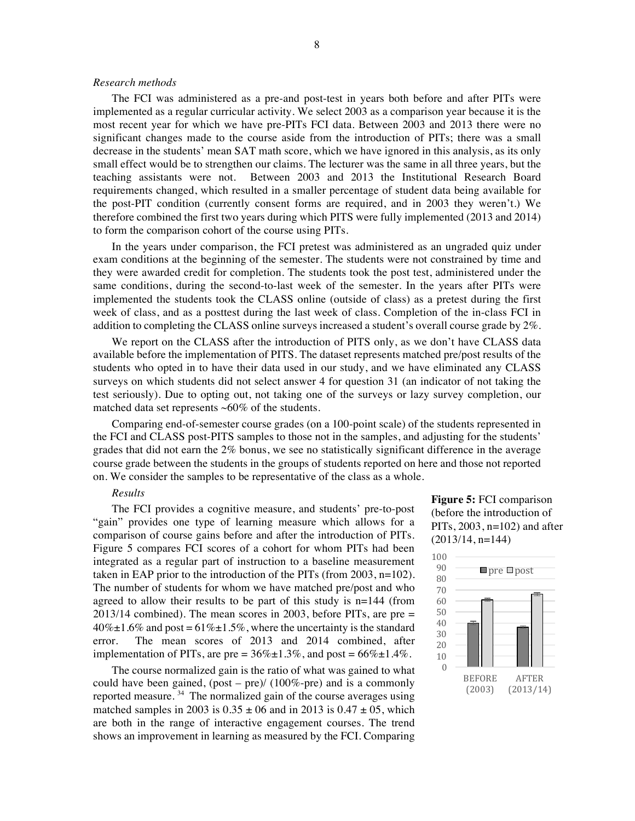## *Research methods*

The FCI was administered as a pre-and post-test in years both before and after PITs were implemented as a regular curricular activity. We select 2003 as a comparison year because it is the most recent year for which we have pre-PITs FCI data. Between 2003 and 2013 there were no significant changes made to the course aside from the introduction of PITs; there was a small decrease in the students' mean SAT math score, which we have ignored in this analysis, as its only small effect would be to strengthen our claims. The lecturer was the same in all three years, but the teaching assistants were not. Between 2003 and 2013 the Institutional Research Board requirements changed, which resulted in a smaller percentage of student data being available for the post-PIT condition (currently consent forms are required, and in 2003 they weren't.) We therefore combined the first two years during which PITS were fully implemented (2013 and 2014) to form the comparison cohort of the course using PITs.

In the years under comparison, the FCI pretest was administered as an ungraded quiz under exam conditions at the beginning of the semester. The students were not constrained by time and they were awarded credit for completion. The students took the post test, administered under the same conditions, during the second-to-last week of the semester. In the years after PITs were implemented the students took the CLASS online (outside of class) as a pretest during the first week of class, and as a posttest during the last week of class. Completion of the in-class FCI in addition to completing the CLASS online surveys increased a student's overall course grade by 2%.

We report on the CLASS after the introduction of PITS only, as we don't have CLASS data available before the implementation of PITS. The dataset represents matched pre/post results of the students who opted in to have their data used in our study, and we have eliminated any CLASS surveys on which students did not select answer 4 for question 31 (an indicator of not taking the test seriously). Due to opting out, not taking one of the surveys or lazy survey completion, our matched data set represents  $~60\%$  of the students.

Comparing end-of-semester course grades (on a 100-point scale) of the students represented in the FCI and CLASS post-PITS samples to those not in the samples, and adjusting for the students' grades that did not earn the 2% bonus, we see no statistically significant difference in the average course grade between the students in the groups of students reported on here and those not reported on. We consider the samples to be representative of the class as a whole.

#### *Results*

The FCI provides a cognitive measure, and students' pre-to-post "gain" provides one type of learning measure which allows for a comparison of course gains before and after the introduction of PITs. Figure 5 compares FCI scores of a cohort for whom PITs had been integrated as a regular part of instruction to a baseline measurement taken in EAP prior to the introduction of the PITs (from  $2003$ , n=102). The number of students for whom we have matched pre/post and who agreed to allow their results to be part of this study is  $n=144$  (from 2013/14 combined). The mean scores in 2003, before PITs, are pre =  $40\% \pm 1.6\%$  and post = 61% $\pm 1.5\%$ , where the uncertainty is the standard error. The mean scores of 2013 and 2014 combined, after implementation of PITs, are pre =  $36\% \pm 1.3\%$ , and post =  $66\% \pm 1.4\%$ .

The course normalized gain is the ratio of what was gained to what could have been gained,  $(post - pre)/(100\% - pre)$  and is a commonly reported measure.  $34$  The normalized gain of the course averages using matched samples in 2003 is  $0.35 \pm 06$  and in 2013 is  $0.47 \pm 05$ , which are both in the range of interactive engagement courses. The trend shows an improvement in learning as measured by the FCI. Comparing

**Figure 5:** FCI comparison (before the introduction of PITs,  $2003$ ,  $n=102$ ) and after (2013/14, n=144)

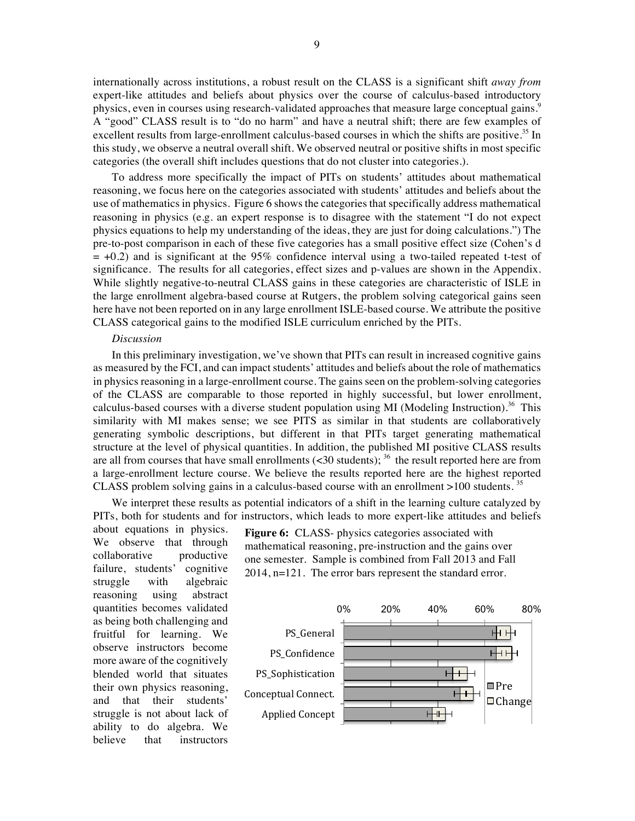internationally across institutions, a robust result on the CLASS is a significant shift *away from* expert-like attitudes and beliefs about physics over the course of calculus-based introductory physics, even in courses using research-validated approaches that measure large conceptual gains.<sup>9</sup> A "good" CLASS result is to "do no harm" and have a neutral shift; there are few examples of excellent results from large-enrollment calculus-based courses in which the shifts are positive.<sup>35</sup> In this study, we observe a neutral overall shift. We observed neutral or positive shifts in most specific categories (the overall shift includes questions that do not cluster into categories.).

To address more specifically the impact of PITs on students' attitudes about mathematical reasoning, we focus here on the categories associated with students' attitudes and beliefs about the use of mathematics in physics. Figure 6 shows the categories that specifically address mathematical reasoning in physics (e.g. an expert response is to disagree with the statement "I do not expect physics equations to help my understanding of the ideas, they are just for doing calculations.") The pre-to-post comparison in each of these five categories has a small positive effect size (Cohen's d  $= +0.2$ ) and is significant at the 95% confidence interval using a two-tailed repeated t-test of significance. The results for all categories, effect sizes and p-values are shown in the Appendix. While slightly negative-to-neutral CLASS gains in these categories are characteristic of ISLE in the large enrollment algebra-based course at Rutgers, the problem solving categorical gains seen here have not been reported on in any large enrollment ISLE-based course. We attribute the positive CLASS categorical gains to the modified ISLE curriculum enriched by the PITs.

### *Discussion*

In this preliminary investigation, we've shown that PITs can result in increased cognitive gains as measured by the FCI, and can impact students' attitudes and beliefs about the role of mathematics in physics reasoning in a large-enrollment course. The gains seen on the problem-solving categories of the CLASS are comparable to those reported in highly successful, but lower enrollment, calculus-based courses with a diverse student population using MI (Modeling Instruction).<sup>36</sup> This similarity with MI makes sense; we see PITS as similar in that students are collaboratively generating symbolic descriptions, but different in that PITs target generating mathematical structure at the level of physical quantities. In addition, the published MI positive CLASS results are all from courses that have small enrollments  $(<$ 30 students);  $^{36}$  the result reported here are from a large-enrollment lecture course. We believe the results reported here are the highest reported CLASS problem solving gains in a calculus-based course with an enrollment  $>100$  students. <sup>35</sup>

We interpret these results as potential indicators of a shift in the learning culture catalyzed by PITs, both for students and for instructors, which leads to more expert-like attitudes and beliefs

about equations in physics. We observe that through collaborative productive failure, students' cognitive struggle with algebraic reasoning using abstract quantities becomes validated as being both challenging and fruitful for learning. We observe instructors become more aware of the cognitively blended world that situates their own physics reasoning, and that their students' struggle is not about lack of ability to do algebra. We believe that instructors

**Figure 6:** CLASS- physics categories associated with mathematical reasoning, pre-instruction and the gains over one semester. Sample is combined from Fall 2013 and Fall 2014, n=121. The error bars represent the standard error.

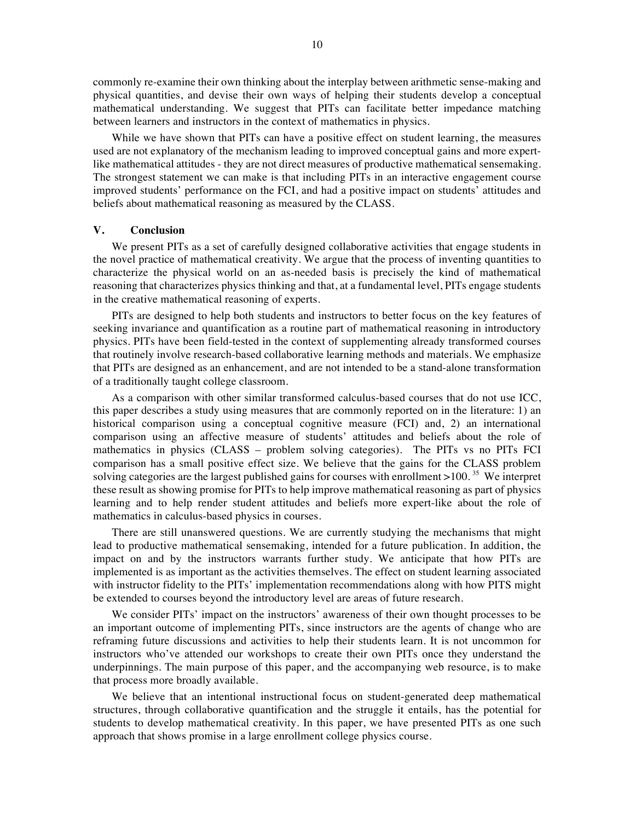commonly re-examine their own thinking about the interplay between arithmetic sense-making and physical quantities, and devise their own ways of helping their students develop a conceptual mathematical understanding. We suggest that PITs can facilitate better impedance matching between learners and instructors in the context of mathematics in physics.

While we have shown that PITs can have a positive effect on student learning, the measures used are not explanatory of the mechanism leading to improved conceptual gains and more expertlike mathematical attitudes - they are not direct measures of productive mathematical sensemaking. The strongest statement we can make is that including PITs in an interactive engagement course improved students' performance on the FCI, and had a positive impact on students' attitudes and beliefs about mathematical reasoning as measured by the CLASS.

# **V. Conclusion**

We present PITs as a set of carefully designed collaborative activities that engage students in the novel practice of mathematical creativity. We argue that the process of inventing quantities to characterize the physical world on an as-needed basis is precisely the kind of mathematical reasoning that characterizes physics thinking and that, at a fundamental level, PITs engage students in the creative mathematical reasoning of experts.

PITs are designed to help both students and instructors to better focus on the key features of seeking invariance and quantification as a routine part of mathematical reasoning in introductory physics. PITs have been field-tested in the context of supplementing already transformed courses that routinely involve research-based collaborative learning methods and materials. We emphasize that PITs are designed as an enhancement, and are not intended to be a stand-alone transformation of a traditionally taught college classroom.

As a comparison with other similar transformed calculus-based courses that do not use ICC, this paper describes a study using measures that are commonly reported on in the literature: 1) an historical comparison using a conceptual cognitive measure (FCI) and, 2) an international comparison using an affective measure of students' attitudes and beliefs about the role of mathematics in physics (CLASS – problem solving categories). The PITs vs no PITs FCI comparison has a small positive effect size. We believe that the gains for the CLASS problem solving categories are the largest published gains for courses with enrollment >100.<sup>35</sup> We interpret these result as showing promise for PITs to help improve mathematical reasoning as part of physics learning and to help render student attitudes and beliefs more expert-like about the role of mathematics in calculus-based physics in courses.

There are still unanswered questions. We are currently studying the mechanisms that might lead to productive mathematical sensemaking, intended for a future publication. In addition, the impact on and by the instructors warrants further study. We anticipate that how PITs are implemented is as important as the activities themselves. The effect on student learning associated with instructor fidelity to the PITs' implementation recommendations along with how PITS might be extended to courses beyond the introductory level are areas of future research.

We consider PITs' impact on the instructors' awareness of their own thought processes to be an important outcome of implementing PITs, since instructors are the agents of change who are reframing future discussions and activities to help their students learn. It is not uncommon for instructors who've attended our workshops to create their own PITs once they understand the underpinnings. The main purpose of this paper, and the accompanying web resource, is to make that process more broadly available.

We believe that an intentional instructional focus on student-generated deep mathematical structures, through collaborative quantification and the struggle it entails, has the potential for students to develop mathematical creativity. In this paper, we have presented PITs as one such approach that shows promise in a large enrollment college physics course.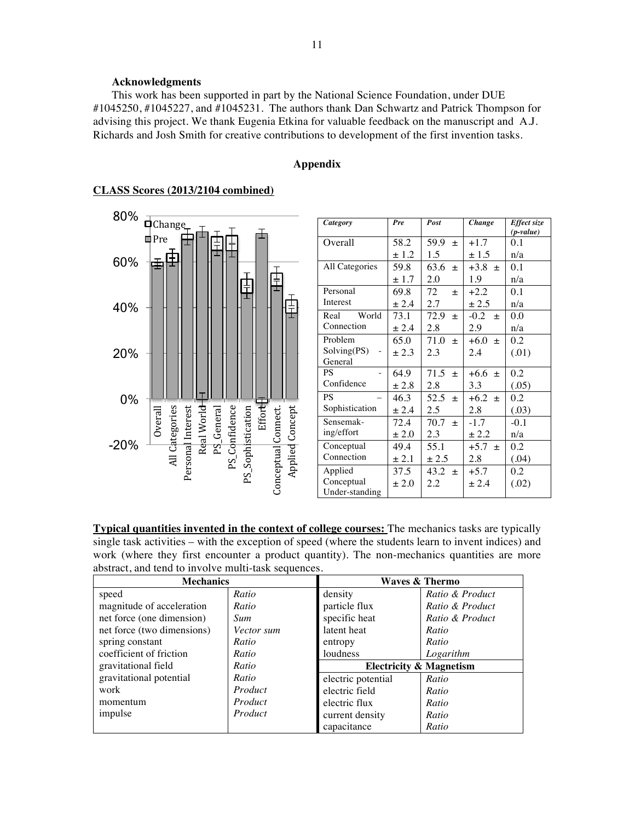# **Acknowledgments**

This work has been supported in part by the National Science Foundation, under DUE #1045250, #1045227, and #1045231. The authors thank Dan Schwartz and Patrick Thompson for advising this project. We thank Eugenia Etkina for valuable feedback on the manuscript and A.J. Richards and Josh Smith for creative contributions to development of the first invention tasks.

# **Appendix**



| Category        | Pre       | Post          | Change        | Effect size |
|-----------------|-----------|---------------|---------------|-------------|
|                 |           |               |               | $(p-value)$ |
| Overall         | 58.2      | 59.9<br>士     | $+1.7$        | 0.1         |
|                 | $\pm$ 1.2 | 1.5           | $\pm$ 1.5     | n/a         |
| All Categories  | 59.8      | 63.6<br>$+$   | $+3.8 \pm$    | 0.1         |
|                 | ± 1.7     | 2.0           | 1.9           | n/a         |
| Personal        | 69.8      | 72<br>$+$     | $+2.2$        | 0.1         |
| <b>Interest</b> | ± 2.4     | 2.7           | $\pm 2.5$     | n/a         |
| Real<br>World   | 73.1      | 72.9<br>士     | $-0.2$<br>$+$ | 0.0         |
| Connection      | ± 2.4     | 2.8           | 2.9           | n/a         |
| Problem         | 65.0      | 71.0<br>$+$   | $+6.0$<br>$+$ | 0.2         |
| Solving(PS)     | $\pm 2.3$ | 2.3           | 2.4           | (.01)       |
| General         |           |               |               |             |
| <b>PS</b>       | 64.9      | 71.5<br>$+$   | $+6.6 \pm$    | 0.2         |
| Confidence      | ± 2.8     | 2.8           | 3.3           | (.05)       |
| <b>PS</b>       | 46.3      | 52.5<br>士     | $+6.2 +$      | 0.2         |
| Sophistication  | ± 2.4     | 2.5           | 2.8           | (.03)       |
| Sensemak-       | 72.4      | 70.7<br>$\pm$ | $-1.7$        | $-0.1$      |
| ing/effort      | $\pm 2.0$ | 2.3           | $\pm 2.2$     | n/a         |
| Conceptual      | 49.4      | 55.1          | $+5.7$<br>$+$ | 0.2         |
| Connection      | $\pm 2.1$ | $\pm 2.5$     | 2.8           | (.04)       |
| Applied         | 37.5      | 43.2<br>$+$   | $+5.7$        | 0.2         |
| Conceptual      | $\pm 2.0$ | 2.2           | ± 2.4         | (.02)       |
| Under-standing  |           |               |               |             |

**Typical quantities invented in the context of college courses:** The mechanics tasks are typically single task activities – with the exception of speed (where the students learn to invent indices) and work (where they first encounter a product quantity). The non-mechanics quantities are more abstract, and tend to involve multi-task sequences.

| <b>Mechanics</b>           |            | <b>Waves &amp; Thermo</b>          |                 |  |
|----------------------------|------------|------------------------------------|-----------------|--|
| speed                      | Ratio      | density                            | Ratio & Product |  |
| magnitude of acceleration  | Ratio      | particle flux                      | Ratio & Product |  |
| net force (one dimension)  | <i>Sum</i> | specific heat                      | Ratio & Product |  |
| net force (two dimensions) | Vector sum | latent heat                        | Ratio           |  |
| spring constant            | Ratio      | entropy                            | Ratio           |  |
| coefficient of friction    | Ratio      | <i>loudness</i>                    | Logarithm       |  |
| gravitational field        | Ratio      | <b>Electricity &amp; Magnetism</b> |                 |  |
| gravitational potential    | Ratio      | electric potential                 | Ratio           |  |
| work                       | Product    | electric field                     | Ratio           |  |
| momentum                   | Product    | electric flux                      | Ratio           |  |
| impulse                    | Product    | current density                    | Ratio           |  |
|                            |            | capacitance                        | Ratio           |  |

# **CLASS Scores (2013/2104 combined)**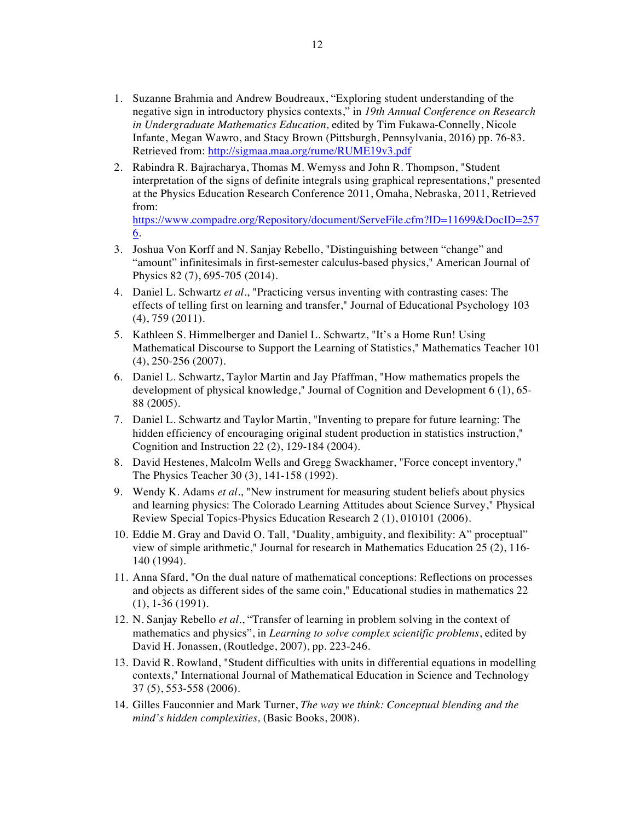- 1. Suzanne Brahmia and Andrew Boudreaux, "Exploring student understanding of the negative sign in introductory physics contexts," in *19th Annual Conference on Research in Undergraduate Mathematics Education,* edited by Tim Fukawa-Connelly, Nicole Infante, Megan Wawro, and Stacy Brown (Pittsburgh, Pennsylvania, 2016) pp. 76-83. Retrieved from: http://sigmaa.maa.org/rume/RUME19v3.pdf
- 2. Rabindra R. Bajracharya, Thomas M. Wemyss and John R. Thompson, "Student interpretation of the signs of definite integrals using graphical representations," presented at the Physics Education Research Conference 2011, Omaha, Nebraska, 2011, Retrieved from:

https://www.compadre.org/Repository/document/ServeFile.cfm?ID=11699&DocID=257 6.

- 3. Joshua Von Korff and N. Sanjay Rebello, "Distinguishing between "change" and "amount" infinitesimals in first-semester calculus-based physics," American Journal of Physics 82 (7), 695-705 (2014).
- 4. Daniel L. Schwartz *et al.*, "Practicing versus inventing with contrasting cases: The effects of telling first on learning and transfer," Journal of Educational Psychology 103 (4), 759 (2011).
- 5. Kathleen S. Himmelberger and Daniel L. Schwartz, "It's a Home Run! Using Mathematical Discourse to Support the Learning of Statistics," Mathematics Teacher 101 (4), 250-256 (2007).
- 6. Daniel L. Schwartz, Taylor Martin and Jay Pfaffman, "How mathematics propels the development of physical knowledge," Journal of Cognition and Development 6 (1), 65- 88 (2005).
- 7. Daniel L. Schwartz and Taylor Martin, "Inventing to prepare for future learning: The hidden efficiency of encouraging original student production in statistics instruction," Cognition and Instruction 22 (2), 129-184 (2004).
- 8. David Hestenes, Malcolm Wells and Gregg Swackhamer, "Force concept inventory," The Physics Teacher 30 (3), 141-158 (1992).
- 9. Wendy K. Adams *et al.*, "New instrument for measuring student beliefs about physics and learning physics: The Colorado Learning Attitudes about Science Survey," Physical Review Special Topics-Physics Education Research 2 (1), 010101 (2006).
- 10. Eddie M. Gray and David O. Tall, "Duality, ambiguity, and flexibility: A" proceptual" view of simple arithmetic," Journal for research in Mathematics Education 25 (2), 116- 140 (1994).
- 11. Anna Sfard, "On the dual nature of mathematical conceptions: Reflections on processes and objects as different sides of the same coin," Educational studies in mathematics 22 (1), 1-36 (1991).
- 12. N. Sanjay Rebello *et al.*, "Transfer of learning in problem solving in the context of mathematics and physics", in *Learning to solve complex scientific problems*, edited by David H. Jonassen, (Routledge, 2007), pp. 223-246.
- 13. David R. Rowland, "Student difficulties with units in differential equations in modelling contexts," International Journal of Mathematical Education in Science and Technology 37 (5), 553-558 (2006).
- 14. Gilles Fauconnier and Mark Turner, *The way we think: Conceptual blending and the mind's hidden complexities,* (Basic Books, 2008).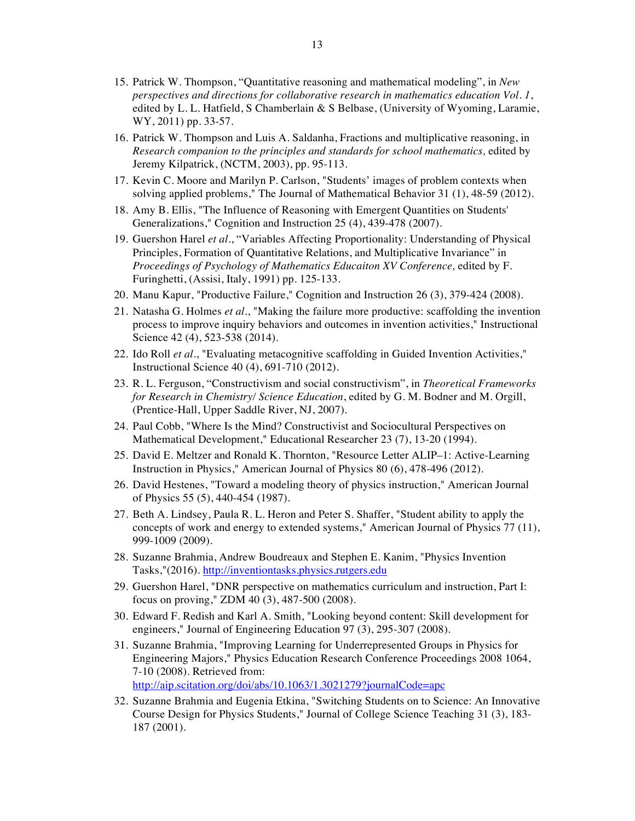- 15. Patrick W. Thompson, "Quantitative reasoning and mathematical modeling", in *New perspectives and directions for collaborative research in mathematics education Vol. 1*, edited by L. L. Hatfield, S Chamberlain & S Belbase, (University of Wyoming, Laramie, WY, 2011) pp. 33-57.
- 16. Patrick W. Thompson and Luis A. Saldanha, Fractions and multiplicative reasoning, in *Research companion to the principles and standards for school mathematics,* edited by Jeremy Kilpatrick, (NCTM, 2003), pp. 95-113.
- 17. Kevin C. Moore and Marilyn P. Carlson, "Students' images of problem contexts when solving applied problems," The Journal of Mathematical Behavior 31 (1), 48-59 (2012).
- 18. Amy B. Ellis, "The Influence of Reasoning with Emergent Quantities on Students' Generalizations," Cognition and Instruction 25 (4), 439-478 (2007).
- 19. Guershon Harel *et al.*, "Variables Affecting Proportionality: Understanding of Physical Principles, Formation of Quantitative Relations, and Multiplicative Invariance" in *Proceedings of Psychology of Mathematics Educaiton XV Conference,* edited by F. Furinghetti, (Assisi, Italy, 1991) pp. 125-133.
- 20. Manu Kapur, "Productive Failure," Cognition and Instruction 26 (3), 379-424 (2008).
- 21. Natasha G. Holmes *et al.*, "Making the failure more productive: scaffolding the invention process to improve inquiry behaviors and outcomes in invention activities," Instructional Science 42 (4), 523-538 (2014).
- 22. Ido Roll *et al.*, "Evaluating metacognitive scaffolding in Guided Invention Activities," Instructional Science 40 (4), 691-710 (2012).
- 23. R. L. Ferguson, "Constructivism and social constructivism", in *Theoretical Frameworks for Research in Chemistry/ Science Education*, edited by G. M. Bodner and M. Orgill, (Prentice-Hall, Upper Saddle River, NJ, 2007).
- 24. Paul Cobb, "Where Is the Mind? Constructivist and Sociocultural Perspectives on Mathematical Development," Educational Researcher 23 (7), 13-20 (1994).
- 25. David E. Meltzer and Ronald K. Thornton, "Resource Letter ALIP–1: Active-Learning Instruction in Physics," American Journal of Physics 80 (6), 478-496 (2012).
- 26. David Hestenes, "Toward a modeling theory of physics instruction," American Journal of Physics 55 (5), 440-454 (1987).
- 27. Beth A. Lindsey, Paula R. L. Heron and Peter S. Shaffer, "Student ability to apply the concepts of work and energy to extended systems," American Journal of Physics 77 (11), 999-1009 (2009).
- 28. Suzanne Brahmia, Andrew Boudreaux and Stephen E. Kanim, "Physics Invention Tasks,"(2016). http://inventiontasks.physics.rutgers.edu
- 29. Guershon Harel, "DNR perspective on mathematics curriculum and instruction, Part I: focus on proving," ZDM 40 (3), 487-500 (2008).
- 30. Edward F. Redish and Karl A. Smith, "Looking beyond content: Skill development for engineers," Journal of Engineering Education 97 (3), 295-307 (2008).
- 31. Suzanne Brahmia, "Improving Learning for Underrepresented Groups in Physics for Engineering Majors," Physics Education Research Conference Proceedings 2008 1064, 7-10 (2008). Retrieved from: http://aip.scitation.org/doi/abs/10.1063/1.3021279?journalCode=apc
- 32. Suzanne Brahmia and Eugenia Etkina, "Switching Students on to Science: An Innovative Course Design for Physics Students," Journal of College Science Teaching 31 (3), 183- 187 (2001).